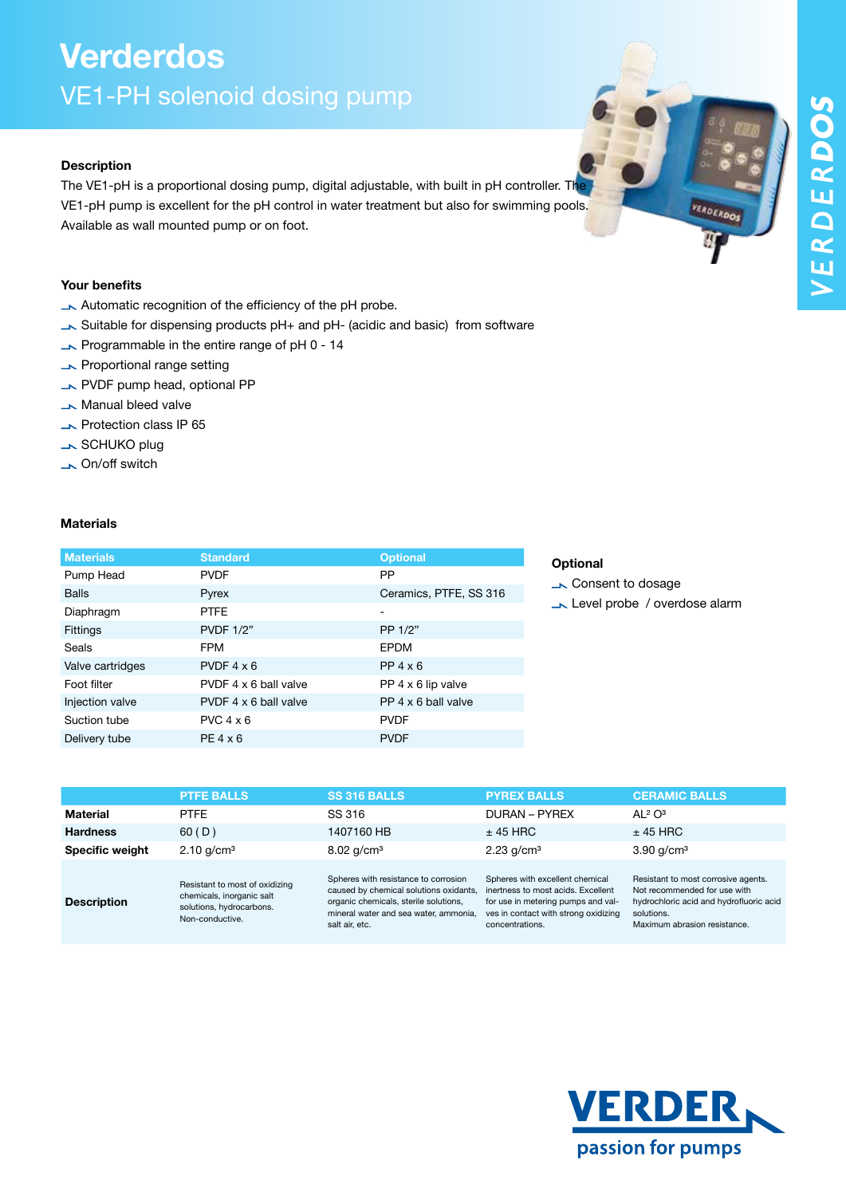VERDERDOS

# Verderdos VE1-PH solenoid dosing pump

### Description

The VE1-pH is a proportional dosing pump, digital adjustable, with built in pH controller. The VE1-pH pump is excellent for the pH control in water treatment but also for swimming pools. Available as wall mounted pump or on foot.

### Your benefits

- Automatic recognition of the efficiency of the pH probe.
- Suitable for dispensing products pH+ and pH- (acidic and basic) from software
- $\rightarrow$  Programmable in the entire range of pH 0 14
- **N** Proportional range setting
- PVDF pump head, optional PP
- **Manual bleed valve**
- **Notection class IP 65**
- SCHUKO plug
- On/off switch

#### **Materials**

| <b>Materials</b> | <b>Standard</b>       | <b>Optional</b>        |
|------------------|-----------------------|------------------------|
| Pump Head        | <b>PVDF</b>           | PP                     |
| <b>Balls</b>     | Pyrex                 | Ceramics, PTFE, SS 316 |
| Diaphragm        | <b>PTFF</b>           | -                      |
| <b>Fittings</b>  | <b>PVDF 1/2"</b>      | PP 1/2"                |
| Seals            | <b>FPM</b>            | <b>EPDM</b>            |
| Valve cartridges | PVDF $4 \times 6$     | $PP 4 \times 6$        |
| Foot filter      | PVDF 4 x 6 ball valve | PP 4 x 6 lip valve     |
| Injection valve  | PVDF 4 x 6 ball valve | PP 4 x 6 ball valve    |
| Suction tube     | $PVC$ 4 $\times$ 6    | <b>PVDF</b>            |
| Delivery tube    | $PE 4 \times 6$       | <b>PVDF</b>            |

### **Optional**

- **Consent to dosage**
- Level probe / overdose alarm

|                        | <b>PTFE BALLS</b>                                                                                          | <b>SS 316 BALLS</b>                                                                                                                                                                | <b>PYREX BALLS</b>                                                                                                                                                     | <b>CERAMIC BALLS</b>                                                                                                                                         |
|------------------------|------------------------------------------------------------------------------------------------------------|------------------------------------------------------------------------------------------------------------------------------------------------------------------------------------|------------------------------------------------------------------------------------------------------------------------------------------------------------------------|--------------------------------------------------------------------------------------------------------------------------------------------------------------|
| Material               | <b>PTFE</b>                                                                                                | SS 316                                                                                                                                                                             | DURAN – PYREX                                                                                                                                                          | AL <sup>2</sup> O <sup>3</sup>                                                                                                                               |
| <b>Hardness</b>        | 60(D)                                                                                                      | 1407160 HB                                                                                                                                                                         | $±$ 45 HRC                                                                                                                                                             | $±$ 45 HRC                                                                                                                                                   |
| <b>Specific weight</b> | $2.10$ g/cm <sup>3</sup>                                                                                   | $8.02$ g/cm <sup>3</sup>                                                                                                                                                           | $2.23$ g/cm <sup>3</sup>                                                                                                                                               | $3.90$ g/cm <sup>3</sup>                                                                                                                                     |
| <b>Description</b>     | Resistant to most of oxidizing<br>chemicals, inorganic salt<br>solutions, hydrocarbons.<br>Non-conductive. | Spheres with resistance to corrosion<br>caused by chemical solutions oxidants,<br>organic chemicals, sterile solutions,<br>mineral water and sea water, ammonia,<br>salt air. etc. | Spheres with excellent chemical<br>inertness to most acids. Excellent<br>for use in metering pumps and val-<br>ves in contact with strong oxidizing<br>concentrations. | Resistant to most corrosive agents.<br>Not recommended for use with<br>hydrochloric acid and hydrofluoric acid<br>solutions.<br>Maximum abrasion resistance. |

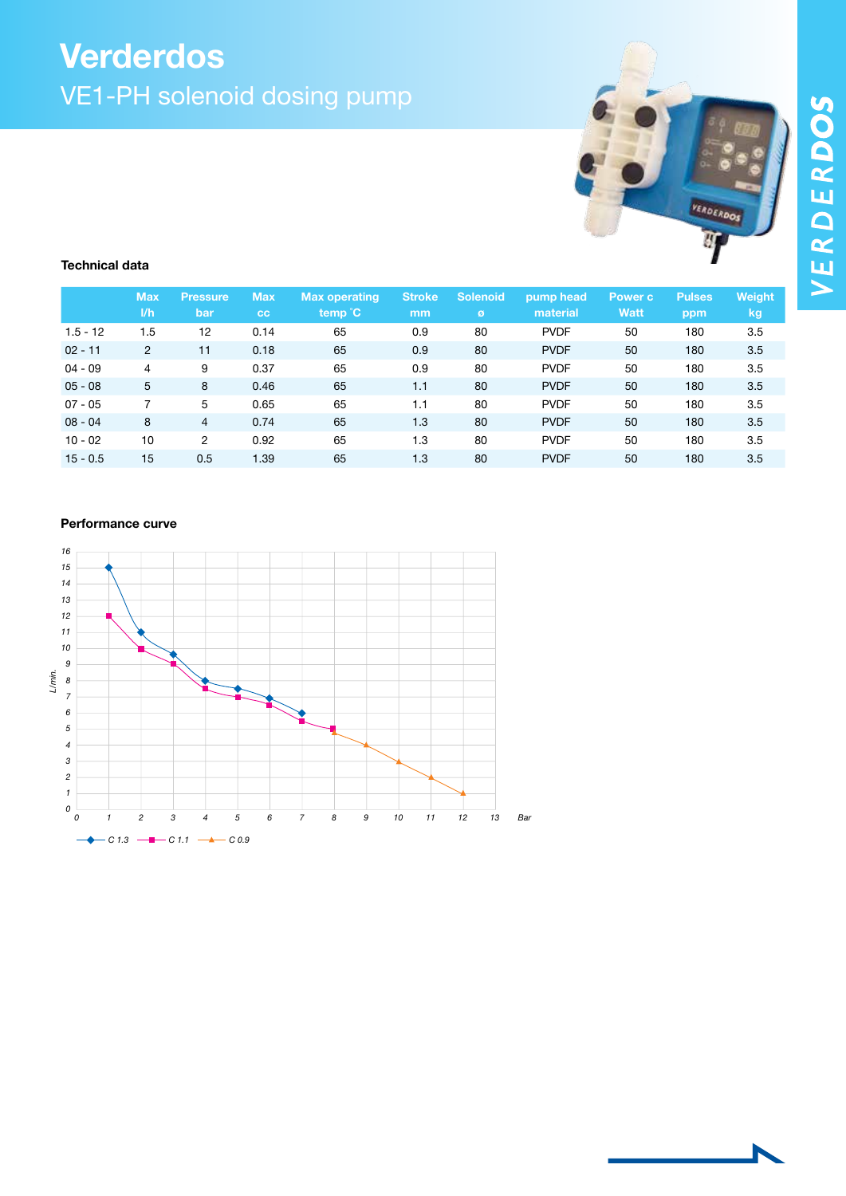# Verderdos VE1-PH solenoid dosing pump



#### Technical data

|            | <b>Max</b><br>1/h | <b>Pressure</b><br>bar | <b>Max</b><br><b>CC</b> | Max operating<br>temp °C | <b>Stroke</b><br>mm | <b>Solenoid</b><br>ø | pump head<br>material | Power c<br>Watt | Pulses<br>ppm | Weight<br><b>kg</b> |
|------------|-------------------|------------------------|-------------------------|--------------------------|---------------------|----------------------|-----------------------|-----------------|---------------|---------------------|
| $1.5 - 12$ | 1.5               | 12                     | 0.14                    | 65                       | 0.9                 | 80                   | <b>PVDF</b>           | 50              | 180           | 3.5                 |
| $02 - 11$  | $\overline{2}$    | 11                     | 0.18                    | 65                       | 0.9                 | 80                   | <b>PVDF</b>           | 50              | 180           | 3.5                 |
| $04 - 09$  | 4                 | 9                      | 0.37                    | 65                       | 0.9                 | 80                   | <b>PVDF</b>           | 50              | 180           | 3.5                 |
| $05 - 08$  | 5                 | 8                      | 0.46                    | 65                       | 1.1                 | 80                   | <b>PVDF</b>           | 50              | 180           | 3.5                 |
| $07 - 05$  |                   | 5                      | 0.65                    | 65                       | 1.1                 | 80                   | <b>PVDF</b>           | 50              | 180           | 3.5                 |
| $08 - 04$  | 8                 | 4                      | 0.74                    | 65                       | 1.3                 | 80                   | <b>PVDF</b>           | 50              | 180           | 3.5                 |
| $10 - 02$  | 10                | 2                      | 0.92                    | 65                       | 1.3                 | 80                   | <b>PVDF</b>           | 50              | 180           | 3.5                 |
| $15 - 0.5$ | 15                | 0.5                    | 1.39                    | 65                       | 1.3                 | 80                   | <b>PVDF</b>           | 50              | 180           | 3.5                 |

### Performance curve